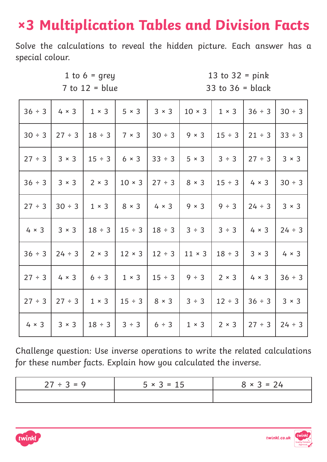# **×3 Multiplication Tables and Division Facts**

Solve the calculations to reveal the hidden picture. Each answer has a special colour.

1 to 6 = grey 13 to 32 = pink  $7$  to  $12$  = blue  $33$  to  $36$  = black

| $36 \div 3$  | $4 \times 3$ | $1 \times 3$             | $5 \times 3$  | $3 \times 3$ | $10 \times 3$            | $1 \times 3$ | $36 \div 3$               | 30 ÷ 3       |
|--------------|--------------|--------------------------|---------------|--------------|--------------------------|--------------|---------------------------|--------------|
| 30 ÷ 3       | 27 ÷ 3       | $18 \div 3$              | $7 \times 3$  | $30 \div 3$  | $9 \times 3$             | $15 \div 3$  | $21 \div 3$               | 33 ÷ 3       |
| 27 ÷ 3       | $3 \times 3$ | $15 \div 3$              | $6 \times 3$  |              | $33 \div 3$ 5 x 3        | 3 ÷ 3        | 27 ÷ 3                    | $3 \times 3$ |
| $36 \div 3$  | $3 \times 3$ | $\vert 2 \times 3 \vert$ | $10 \times 3$ | 27 ÷ 3       | $8 \times 3$             | $15 \div 3$  | $4 \times 3$              | $30 \div 3$  |
| 27 ÷ 3       | $30 \div 3$  | $1 \times 3$             | $8 \times 3$  | $4 \times 3$ | $9 \times 3$             | 9 ÷ 3        | $24 \div 3$               | $3 \times 3$ |
| $4 \times 3$ | $3 \times 3$ | $18 \div 3$              | $15 \div 3$   | $18 \div 3$  | 3 ÷ 3                    | 3 ÷ 3        | $4 \times 3$              | $24 \div 3$  |
| 36 ÷ 3       | $24 \div 3$  | $2 \times 3$             | $12 \times 3$ | $12 \div 3$  | $11 \times 3$            | $18 \div 3$  | $3 \times 3$              | $4 \times 3$ |
| 27 ÷ 3       |              | $4 \times 3$   6 ÷ 3     | $1 \times 3$  |              | $15 \div 3$   9 $\div 3$ |              | $2 \times 3$ 4 $\times$ 3 | 36 ÷ 3       |
| $27 \div 3$  | 27 ÷ 3       | $1 \times 3$             | $15 \div 3$   | $8 \times 3$ | 3 ÷ 3                    | $12 \div 3$  | 36 ÷ 3                    | $3 \times 3$ |
| $4 \times 3$ | $3 \times 3$ | $18 \div 3$              | 3 ÷ 3         | 6 ÷ 3        | $1 \times 3$             | $2 \times 3$ | 27 ÷ 3                    | $24 \div 3$  |

| $27 \div 3 = 9$ | $5 \times 3 = 15$ | $8 \times 3 = 24$ |
|-----------------|-------------------|-------------------|
|                 |                   |                   |



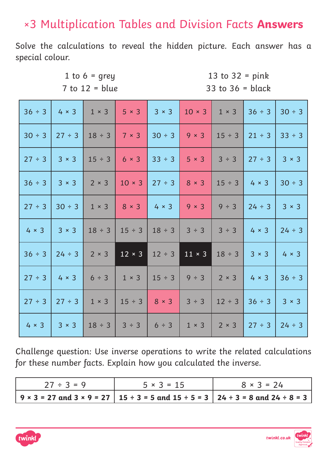### ×3 Multiplication Tables and Division Facts **Answers**

Solve the calculations to reveal the hidden picture. Each answer has a special colour.

1 to 6 = grey 13 to 32 = pink

 $7 \text{ to } 12 = \text{blue}$  33 to  $36 = \text{blue}$ 

| 36 ÷ 3       |              | $4 \times 3$   $1 \times 3$   $5 \times 3$ |               | $3 \times 3$             | $10 \times 3$ | $1 \times 3$         | $36 \div 3$  | $30 \div 3$  |
|--------------|--------------|--------------------------------------------|---------------|--------------------------|---------------|----------------------|--------------|--------------|
| $30 \div 3$  | 27 ÷ 3       | $18 \div 3$                                | $7 \times 3$  | $30 \div 3$              | $9 \times 3$  | $15 \div 3$          | $21 \div 3$  | $33 \div 3$  |
| 27 ÷ 3       | $3 \times 3$ | $15 \div 3$                                | $6 \times 3$  | $33 \div 3$              | $5 \times 3$  | 3 ÷ 3                | 27 ÷ 3       | $3 \times 3$ |
| $36 \div 3$  | $3 \times 3$ | $2 \times 3$ 10 $\times$ 3                 |               | $27 \div 3$ 8 $\times$ 3 |               | $15 \div 3$ 4 × 3    |              | $30 \div 3$  |
| 27 ÷ 3       | $30 \div 3$  | $1 \times 3$                               | $8 \times 3$  | $4 \times 3$             | $9 \times 3$  | 9 ÷ 3                | $24 \div 3$  | $3 \times 3$ |
| $4 \times 3$ | $3 \times 3$ | $18 \div 3$                                | $15 \div 3$   | $18 \div 3$              | 3 ÷ 3         | 3 ÷ 3                | $4 \times 3$ | $24 \div 3$  |
| $36 \div 3$  | $24 \div 3$  | $2 \times 3$                               | $12 \times 3$ | $12 \div 3$              |               | $11 \times 3$ 18 ÷ 3 | $3 \times 3$ | $4 \times 3$ |
| $27 \div 3$  | $4 \times 3$ | $6 \div 3$                                 | $1 \times 3$  | $15 \div 3$              | $9 \div 3$    | $2 \times 3$         | $4 \times 3$ | 36 ÷ 3       |
| 27 ÷ 3       | 27 ÷ 3       | $1 \times 3$                               | $15 \div 3$   | $8 \times 3$             | 3 ÷ 3         | $12 \div 3$          | $36 \div 3$  | $3 \times 3$ |
| $4 \times 3$ | $3 \times 3$ | $18 \div 3$                                | 3 ÷ 3         | $6 \div 3$               | $1 \times 3$  | $2 \times 3$         | $27 \div 3$  | $24 \div 3$  |

| $27 \div 3 = 9$ | $5 \times 3 = 15$ | $8 \times 3 = 24$                                                                 |
|-----------------|-------------------|-----------------------------------------------------------------------------------|
|                 |                   | 9 × 3 = 27 and 3 × 9 = 27   15 ÷ 3 = 5 and 15 ÷ 5 = 3   24 ÷ 3 = 8 and 24 ÷ 8 = 3 |



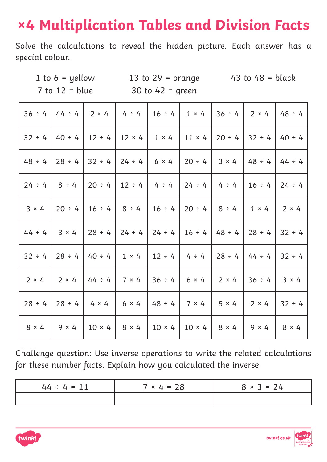# **×4 Multiplication Tables and Division Facts**

Solve the calculations to reveal the hidden picture. Each answer has a special colour.

 $7$  to  $12$  = blue  $30$  to  $42$  = green

1 to  $6 =$  yellow 13 to  $29 =$  orange 43 to  $48 =$  black

|              | $36 \div 4$   44 $\div 4$   2 $\times$ 4                                                                   |                         | $4 \div 4$                             | $16 \div 4$              | $1 \times 4$ | $ 36 \div 4 $                                         | $2 \times 4$                    | $48 \div 4$  |
|--------------|------------------------------------------------------------------------------------------------------------|-------------------------|----------------------------------------|--------------------------|--------------|-------------------------------------------------------|---------------------------------|--------------|
|              | $32 \div 4$   40 $\div 4$   12 $\div 4$                                                                    |                         | $12 \times 4$                          | $1 \times 4$             |              |                                                       | $11 \times 4$   20 ÷ 4   32 ÷ 4 | $40 \div 4$  |
| $48 \div 4$  |                                                                                                            | 28 ÷ 4   32 ÷ 4         | $24 \div 4$                            | $6 \times 4$             | $20 \div 4$  | $3 \times 4$                                          | $48 \div 4$                     | $44 \div 4$  |
|              | $24 \div 4$   8 $\div 4$   20 $\div 4$   12 $\div 4$   4 $\div 4$   24 $\div 4$   4 $\div 4$   16 $\div 4$ |                         |                                        |                          |              |                                                       |                                 | $24 \div 4$  |
| $3 \times 4$ |                                                                                                            |                         | $20 \div 4$   16 $\div 4$   8 $\div 4$ |                          |              | $16 \div 4$   20 $\div 4$   8 $\div 4$                | $1 \times 4$                    | $2 \times 4$ |
| $44 \div 4$  |                                                                                                            | $3 \times 4$   28 ÷ 4   | $24 \div 4$                            |                          |              | $24 \div 4$   16 $\div 4$   48 $\div 4$   28 $\div 4$ |                                 | $32 \div 4$  |
| $32 \div 4$  |                                                                                                            | $ 28 \div 4 40 \div 4 $ | $1 \times 4$                           | $12 \div 4$ 4 $\div 4$   |              |                                                       | $28 \div 4$ $44 \div 4$         | $32 \div 4$  |
| $2 \times 4$ | $\begin{array}{c} \n2 \times 4\n\end{array}$                                                               |                         | $ 44 \div 4 7 \times 4$                | $36 \div 4$   6 × 4      |              |                                                       | $2 \times 4$   36 ÷ 4           | $3 \times 4$ |
|              | $28 \div 4$   28 $\div 4$   4 $\times$ 4   6 $\times$ 4                                                    |                         |                                        | $ 48 \div 4 7 \times 4 $ |              | $5 \times 4$                                          | $2 \times 4$                    | $32 \div 4$  |
| $8 \times 4$ | $9 \times 4$                                                                                               |                         | $10 \times 4$ 8 $\times$ 4             |                          |              | $10 \times 4$   $10 \times 4$   $8 \times 4$          | $9 \times 4$                    | $8 \times 4$ |

| $44 \div 4 = 11$ | $7 × 4 = 28$ | $8 \times 3 = 24$ |
|------------------|--------------|-------------------|
|                  |              |                   |



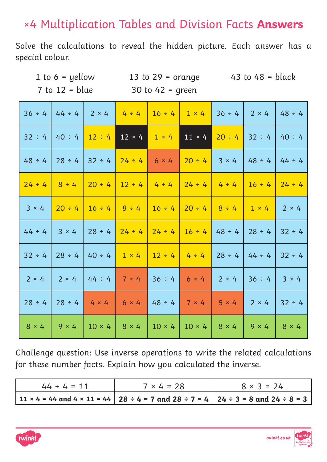### ×4 Multiplication Tables and Division Facts **Answers**

Solve the calculations to reveal the hidden picture. Each answer has a special colour.

 $7$  to  $12 = blue$  30 to  $42 = green$ 

1 to  $6 =$  yellow 13 to  $29 =$  orange 43 to  $48 =$  black

| $36 \div 4$  | $44 \div 4$                                                                                  | $2 \times 4$                             | $4 \div 4$                      | $16 \div 4$  | $1 \times 4$                                 | $ 36 \div 4 $                                         | $2 \times 4$  | $48 \div 4$  |
|--------------|----------------------------------------------------------------------------------------------|------------------------------------------|---------------------------------|--------------|----------------------------------------------|-------------------------------------------------------|---------------|--------------|
| $32 \div 4$  | $40 \div 4$ 12 $\div 4$                                                                      |                                          | $12 \times 4$                   | $1 \times 4$ | $11 \times 4$                                | $20 \div 4$ 32 ÷ 4                                    |               | $40 \div 4$  |
| $48 \div 4$  | $28 \div 4$                                                                                  |                                          | $ 32 \div 4 24 \div 4 $         | $6 \times 4$ | $ 20 \div 4 $                                | $3 \times 4$                                          | $48 \div 4$   | $44 \div 4$  |
|              | $24 \div 4$   8 $\div 4$   20 $\div 4$   12 $\div 4$   4 $\div 4$   24 $\div 4$   4 $\div 4$ |                                          |                                 |              |                                              |                                                       | $16 \div 4$   | $24 \div 4$  |
| $3 \times 4$ | $20 \div 4$                                                                                  |                                          | $16 \div 4$ $8 \div 4$          |              | $16 \div 4$   20 $\div 4$   8 $\div 4$       |                                                       | $1 \times 4$  | $2 \times 4$ |
| $44 \div 4$  | $3 \times 4$                                                                                 |                                          | $28 \div 4$ 24 $\div 4$         |              |                                              | $24 \div 4$   16 $\div 4$   48 $\div 4$   28 $\div 4$ |               | $32 \div 4$  |
| $32 \div 4$  |                                                                                              | $28 \div 4$   40 $\div 4$   1 $\times$ 4 |                                 |              |                                              | $12 \div 4$   4 $\div 4$   28 $\div 4$   44 $\div 4$  |               | $32 \div 4$  |
| $2 \times 4$ | $2 \times 4$                                                                                 |                                          | $144 \div 4$ 7 × 4 36 ÷ 4 6 × 4 |              |                                              | $2 \times 4$                                          | $ 36 \div 4 $ | $3 \times 4$ |
| $28 \div 4$  |                                                                                              | $28 \div 4$ 4 $4 \times 4$ 6 $\times$ 4  |                                 |              | $48 \div 4$ 7 × 4                            | $5 \times 4$                                          | $2 \times 4$  | $32 \div 4$  |
| $8 \times 4$ | $9 \times 4$                                                                                 | $10 \times 4$                            | $8 \times 4$                    |              | $10 \times 4$   $10 \times 4$   $8 \times 4$ |                                                       | $9 \times 4$  | $8 \times 4$ |

| $44 \div 4 = 11$ | $7 \times 4 = 28$ | $8 \times 3 = 24$                                                                   |
|------------------|-------------------|-------------------------------------------------------------------------------------|
|                  |                   | 11 × 4 = 44 and 4 × 11 = 44   28 ÷ 4 = 7 and 28 ÷ 7 = 4   24 ÷ 3 = 8 and 24 ÷ 8 = 3 |



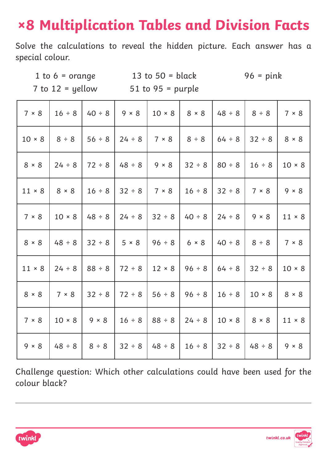# **×8 Multiplication Tables and Division Facts**

Solve the calculations to reveal the hidden picture. Each answer has a special colour.

1 to  $6 = \text{orange}$  13 to  $50 = \text{black}$  96 = pink

 $7$  to  $12$  = yellow  $51$  to  $95$  = purple

| 7 × 8         | $16 \div 8$   | $40 \div 8$  | $9 \times 8$ | $10 \times 8$ | $8 \times 8$ | $48 \div 8$   | 8 ÷ 8         | 7 × 8         |
|---------------|---------------|--------------|--------------|---------------|--------------|---------------|---------------|---------------|
| $10 \times 8$ | 8 ÷ 8         | 56 ÷ 8       | $24 \div 8$  | 7 × 8         | 8 ÷ 8        | 64 ÷ 8        | 32 ÷ 8        | $8 \times 8$  |
| $8 \times 8$  | $24 \div 8$   | $72 \div 8$  | $48 \div 8$  | $9 \times 8$  | $32 \div 8$  | $80 \div 8$   | $16 \div 8$   | $10 \times 8$ |
| $11 \times 8$ | $8 \times 8$  | $16 \div 8$  | 32 ÷ 8       | 7 × 8         | $16 \div 8$  | $32 \div 8$   | 7 × 8         | $9 \times 8$  |
| 7 × 8         | $10 \times 8$ | $48 \div 8$  | $24 \div 8$  | 32 ÷ 8        | $40 \div 8$  | 24 ÷ 8        | $9 \times 8$  | $11 \times 8$ |
| $8 \times 8$  | $48 \div 8$   | 32 ÷ 8       | $5 \times 8$ | $96 \div 8$   | $6 \times 8$ | $40 \div 8$   | 8 ÷ 8         | 7 × 8         |
| $11 \times 8$ | $24 \div 8$   | $88 \div 8$  | $72 \div 8$  | $12 \times 8$ | $96 \div 8$  | $ 64 \div 8$  | $32 \div 8$   | $10 \times 8$ |
| $8 \times 8$  | 7 × 8         | $32 \div 8$  | $72 \div 8$  | 56 ÷ 8        | 96 ÷ 8       | $16 \div 8$   | $10 \times 8$ | $8 \times 8$  |
| 7 × 8         | $10 \times 8$ | $9 \times 8$ | $16 \div 8$  | 88 ÷ 8        | $24 \div 8$  | $10 \times 8$ | $8 \times 8$  | $11 \times 8$ |
| $9 \times 8$  | $48 \div 8$   | 8 ÷ 8        | 32 ÷ 8       | $48 \div 8$   | $16 \div 8$  | 32 ÷ 8        | $48 \div 8$   | $9 \times 8$  |

Challenge question: Which other calculations could have been used for the colour black?



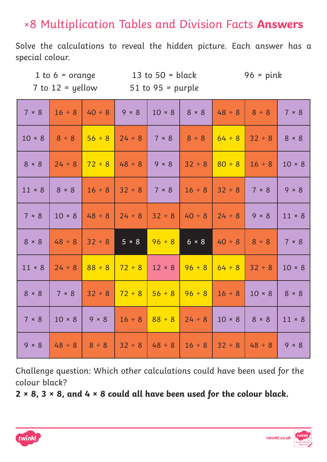## ×8 Multiplication Tables and Division Facts **Answers**

Solve the calculations to reveal the hidden picture. Each answer has a special colour.

 $7$  to  $12$  = yellow  $51$  to  $95$  = purple

1 to  $6 =$  orange 13 to  $50 =$  black 96 = pink

| 7 × 8         | $16 \div 8$   | $40 \div 8$  | $9 \times 8$      | $10 \times 8$ | $8 \times 8$ | $48 \div 8$               | 8 ÷ 8         | 7 × 8         |
|---------------|---------------|--------------|-------------------|---------------|--------------|---------------------------|---------------|---------------|
| $10 \times 8$ | 8 ÷ 8         | $56 \div 8$  | $24 \div 8$       | $7 \times 8$  | $8 \div 8$   | $64 \div 8$               | $32 \div 8$   | $8 \times 8$  |
| $8 \times 8$  | $24 \div 8$   | $72 \div 8$  | $48 \div 8$ 9 × 8 |               | $32 \div 8$  | $80 \div 8$               | $16 \div 8$   | $10 \times 8$ |
| $11 \times 8$ | $8 \times 8$  | $16 \div 8$  | $32 \div 8$       | $7 \times 8$  | $16 \div 8$  | $32 \div 8$               | 7 × 8         | $9 \times 8$  |
| 7 × 8         | $10 \times 8$ | $48 \div 8$  | $24 \div 8$       | $32 \div 8$   | $40 \div 8$  | $24 \div 8$               | $9 \times 8$  | $11 \times 8$ |
| $8 \times 8$  | $48 \div 8$   | $32 \div 8$  | $5 \times 8$      | $96 \div 8$   | $6 \times 8$ | $40 \div 8$               | 8 ÷ 8         | 7 × 8         |
| $11 \times 8$ | $24 \div 8$   | $88 \div 8$  | $72 \div 8$       | $12 \times 8$ | $96 \div 8$  | $64 \div 8$               | $32 \div 8$   | $10 \times 8$ |
| $8 \times 8$  | $7 \times 8$  | $32 \div 8$  | $72 \div 8$       | $56 \div 8$   |              | $96 \div 8$   16 $\div$ 8 | $10 \times 8$ | $8 \times 8$  |
| 7 × 8         | $10 \times 8$ | $9 \times 8$ | $16 \div 8$       | $88 \div 8$   | $24 \div 8$  | $10 \times 8$             | $8 \times 8$  | $11 \times 8$ |
| $9 \times 8$  |               |              |                   |               |              |                           |               |               |

Challenge question: Which other calculations could have been used for the colour black?

**2 × 8, 3 × 8, and 4 × 8 could all have been used for the colour black.**



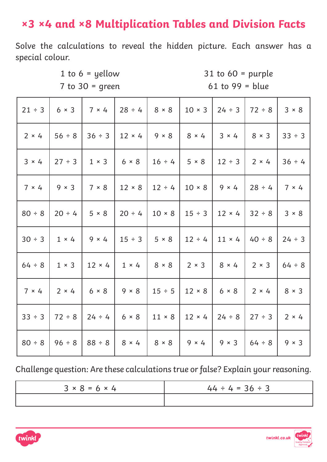## **×3 ×4 and ×8 Multiplication Tables and Division Facts**

Solve the calculations to reveal the hidden picture. Each answer has a special colour.

1 to 6 = yellow 31 to 60 = purple 7 to 30 = green 61 to 99 = blue

| $21 \div 3$         | $6 \times 3$ 7 $\times$ 4 28 ÷ 4                                        |               |                              | $8 \times 8$ | $10 \times 3$   24 ÷ 3   72 ÷ 8                           |                               |                                                 | 3 × 8        |
|---------------------|-------------------------------------------------------------------------|---------------|------------------------------|--------------|-----------------------------------------------------------|-------------------------------|-------------------------------------------------|--------------|
| $2 \times 4$        | 56 ÷ 8                                                                  |               | $36 \div 3$   12 × 4         |              | $9 \times 8$ 8 $8 \times 4$                               | $3 \times 4$                  | $8 \times 3$                                    | $33 \div 3$  |
|                     | $3 \times 4$   27 ÷ 3   1 × 3   6 × 8   16 ÷ 4   5 × 8   12 ÷ 3   2 × 4 |               |                              |              |                                                           |                               |                                                 | 36 ÷ 4       |
|                     | $7 \times 4$   9 $\times$ 3   7 $\times$ 8   12 $\times$ 8              |               |                              |              |                                                           |                               | $12 \div 4$   10 × 8   9 × 4   28 ÷ 4           | $7 \times 4$ |
| 80 ÷ 8              | $ 20 \div 4 $ 5 × 8                                                     |               | $20 \div 4$                  |              | $10 \times 8$   15 ÷ 3   12 × 4                           |                               | $32 \div 8$                                     | 3 × 8        |
| $30 \div 3$   1 × 4 |                                                                         | $9 \times 4$  | $15 \div 3$                  | $5 \times 8$ |                                                           | $12 \div 4$   11 × 4   40 ÷ 8 |                                                 | $24 \div 3$  |
| $64 \div 8$         | $1 \times 3$                                                            |               | $12 \times 4$   $1 \times 4$ |              | $8 \times 8$   2 $\times$ 3   8 $\times$ 4                |                               | $2 \times 3$                                    | $64 \div 8$  |
|                     | $7 \times 4$   2 $\times 4$   6 $\times 8$   9 $\times 8$               |               |                              |              | $15 \div 5$   $12 \times 8$   $6 \times 8$   $2 \times 4$ |                               |                                                 | $8 \times 3$ |
|                     | $33 \div 3$   72 ÷ 8                                                    |               | $24 \div 4$ 6 × 8            |              |                                                           |                               | $11 \times 8$   12 $\times$ 4   24 ÷ 8   27 ÷ 3 | $2 \times 4$ |
| 80 ÷ 8              | 96 ÷ 8                                                                  | $ 88 \div 8 $ | $8 \times 4$                 | $8 \times 8$ |                                                           | $9 \times 3$                  | $64 \div 8$                                     | $9 \times 3$ |

| $3 \times 8 = 6 \times 4$ | $44 \div 4 = 36 \div 3$ |
|---------------------------|-------------------------|
|                           |                         |



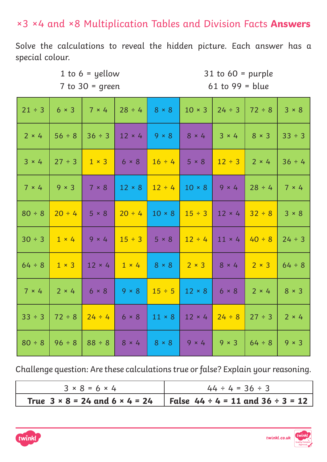#### ×3 ×4 and ×8 Multiplication Tables and Division Facts **Answers**

Solve the calculations to reveal the hidden picture. Each answer has a special colour.

> 1 to 6 = yellow 31 to 60 = purple 7 to 30 = green 61 to 99 = blue

| $21 \div 3$  | $6 \times 3$ |                           | $7 \times 4$   28 ÷ 4                   | $8 \times 8$      | $10 \times 3$              | $24 \div 3$               | $72 \div 8$  | $3 \times 8$ |
|--------------|--------------|---------------------------|-----------------------------------------|-------------------|----------------------------|---------------------------|--------------|--------------|
| $2 \times 4$ | $56 \div 8$  | $36 \div 3$               | $12 \times 4$ 9 $\times$ 8 8 $\times$ 4 |                   |                            | $3 \times 4$              | $8 \times 3$ | 33 ÷ 3       |
| $3 \times 4$ | 27 ÷ 3       | $1 \times 3$ 6 $\times$ 8 |                                         | $16 \div 4$ 5 × 8 |                            | $12 \div 3$               | $2 \times 4$ | $36 \div 4$  |
| 7 × 4        | $9 \times 3$ | 7 × 8                     | $12 \times 8$                           | $12 \div 4$       | $10 \times 8$              | $9 \times 4$              | $28 \div 4$  | 7 × 4        |
| 80 ÷ 8       | $20 \div 4$  | $5 \times 8$              | $20 \div 4$                             | $10 \times 8$     | $15 \div 3$                | $12 \times 4$             | $32 \div 8$  | 3 × 8        |
| $30 \div 3$  | $1 \times 4$ | $9 \times 4$              | $15 \div 3$ 5 × 8                       |                   |                            | $12 \div 4$ 11 × 4 40 ÷ 8 |              | $24 \div 3$  |
| $64 \div 8$  | $1 \times 3$ |                           | $12 \times 4$ 1 $\times$ 4              | $8 \times 8$      | $2 \times 3$ 8 × 4         |                           | $2 \times 3$ | $64 \div 8$  |
| $7 \times 4$ | $2 \times 4$ | $6 \times 8$              | $9 \times 8$                            | $15 \div 5$       | $12 \times 8$ 6 $\times$ 8 |                           | $2 \times 4$ | $8 \times 3$ |
| $33 \div 3$  | $72 \div 8$  | $24 \div 4$ 6 × 8         |                                         | $11 \times 8$     | $12 \times 4$ 24 ÷ 8       |                           | $27 \div 3$  | $2 \times 4$ |
| $80 \div 8$  | $96 \div 8$  | $  88 \div 8$             | $8 \times 4$                            | $8 \times 8$      | $9 \times 4$               | $9 \times 3$              | $64 \div 8$  | $9 \times 3$ |

| $3 \times 8 = 6 \times 4$ | $44 \div 4 = 36 \div 3$                                                                    |
|---------------------------|--------------------------------------------------------------------------------------------|
|                           | True $3 \times 8 = 24$ and $6 \times 4 = 24$   False $44 \div 4 = 11$ and $36 \div 3 = 12$ |

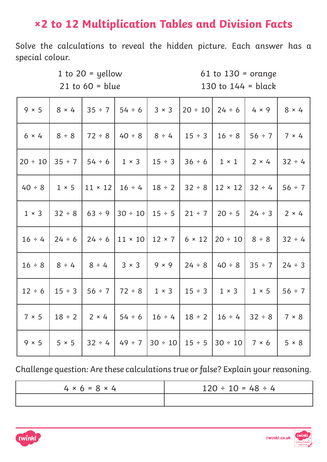## **×2 to 12 Multiplication Tables and Division Facts**

Solve the calculations to reveal the hidden picture. Each answer has a special colour.

1 to 20 = yellow 61 to 130 = orange 21 to 60 = blue 130 to 144 = black

| $9 \times 5$ | 8 × 4                     |               | $35 \div 7$   54 $\div 6$                                                                                        | $3 \times 3$               | $20 \div 10$   24 ÷ 6                   | $4 \times 9$ | $8 \times 4$ |
|--------------|---------------------------|---------------|------------------------------------------------------------------------------------------------------------------|----------------------------|-----------------------------------------|--------------|--------------|
| $6 \times 4$ | $8 \div 8$                | $ 72 \div 8$  | $40 \div 8$                                                                                                      | $8 \div 4$                 | $15 \div 3$   16 $\div 8$               | $56 \div 7$  | $7 \times 4$ |
|              |                           |               | $20 \div 10$ 35 ÷ 7   54 ÷ 6   1 × 3   15 ÷ 3   36 ÷ 6   1 × 1   2 × 4                                           |                            |                                         |              | $32 \div 4$  |
|              |                           |               | $40 \div 8$   1 × 5   11 × 12   16 ÷ 4   18 ÷ 2   32 ÷ 8   12 × 12   32 ÷ 4   56 ÷ 7                             |                            |                                         |              |              |
| $1 \times 3$ | $ 32 \div 8 $             |               | 63 ÷ 9   30 ÷ 10   15 ÷ 5   21 ÷ 7   20 ÷ 5   24 ÷ 3                                                             |                            |                                         |              | $2 \times 4$ |
|              | $16 \div 4$   24 $\div 6$ |               | $\vert$ 24 ÷ 6 $\vert$ 11 × 10   12 × 7   6 × 12                                                                 |                            | $ 20 \div 10 $                          | 8 ÷ 8        | $32 \div 4$  |
|              |                           |               | $16 \div 8$   $8 \div 4$   $8 \div 4$   $3 \times 3$   $9 \times 9$   $24 \div 8$                                |                            | $ 40 \div 8 35 \div 7 $                 |              | $24 \div 3$  |
|              |                           |               | $12 \div 6$   $15 \div 3$   $56 \div 7$   $72 \div 8$   $1 \times 3$   $15 \div 3$   $1 \times 3$   $1 \times 5$ |                            |                                         |              | 56 ÷ 7       |
| 7 × 5        |                           |               | $18 \div 2$   2 × 4   54 ÷ 6                                                                                     |                            | $16 \div 4$   18 $\div 2$   16 $\div 4$ | $32 \div 8$  | 7 × 8        |
| $9 \times 5$ | $5 \times 5$              | $ 32 \div 4 $ | $49 \div 7$                                                                                                      | $30 \div 10$   $15 \div 5$ | $ 30 \div 10 $                          | 7 × 6        | $5 \times 8$ |

| $4 \times 6 = 8 \times 4$ | $120 \div 10 = 48 \div 4$ |
|---------------------------|---------------------------|
|                           |                           |



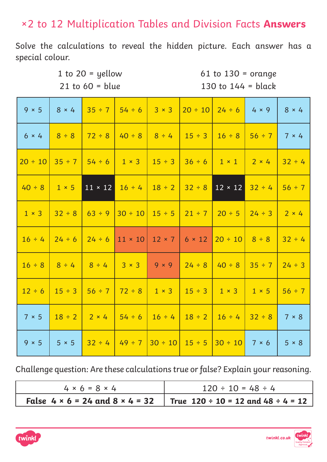#### ×2 to 12 Multiplication Tables and Division Facts **Answers**

Solve the calculations to reveal the hidden picture. Each answer has a special colour.

1 to 20 = yellow 61 to 130 = orange 21 to  $60 = blue$  130 to  $144 = black$ 

| $9 \times 5$ | $8 \times 4$ | $35 \div 7$                             | $54 \div 6$                                                 | $3 \times 3$               |                            | $20 \div 10$   24 ÷ 6          | $4 \times 9$ | $8 \times 4$ |
|--------------|--------------|-----------------------------------------|-------------------------------------------------------------|----------------------------|----------------------------|--------------------------------|--------------|--------------|
| $6 \times 4$ | 8 ÷ 8        | $72 \div 8$                             |                                                             | $40 \div 8$ 8 $\div 4$     | $15 \div 3$                | $16 \div 8$                    | $56 \div 7$  | $7 \times 4$ |
|              |              | $20 \div 10$ 35 ÷ 7   54 ÷ 6   1 × 3    |                                                             |                            |                            | $15 \div 3$ 36 ÷ 6 1 × 1 2 × 4 |              | $32 \div 4$  |
| $40 \div 8$  | $1 \times 5$ | $11 \times 12$                          | $16 \div 4$                                                 | $18 \div 2$                | $32 \div 8$                | $12 \times 12$                 | $32 \div 4$  | $56 \div 7$  |
| $1 \times 3$ | $32 \div 8$  | $63 \div 9$                             | $30 \div 10$                                                | $15 \div 5$                | $21 \div 7$                | $ 20 \div 5 $                  | $24 \div 3$  | $2 \times 4$ |
| $16 \div 4$  | $24 \div 6$  |                                         | $\vert$ 24 ÷ 6   11 × 10   12 × 7                           |                            | $6 \times 12$              | $ 20 \div 10  8 \div 8$        |              | $32 \div 4$  |
|              |              |                                         | $16 \div 8$ $8 \div 4$ $8 \div 4$ $3 \times 3$ $9 \times 9$ |                            | $24 \div 8$                | $140 \div 8$ 35 $\div$ 7       |              | $24 \div 3$  |
|              |              | $12 \div 6$   $15 \div 3$   $56 \div 7$ |                                                             | $72 \div 8$ 1 $\times$ 3   | $15 \div 3$   $1 \times 3$ |                                | $1 \times 5$ | $56 \div 7$  |
| 7 × 5        | $18 \div 2$  |                                         |                                                             | $16 \div 4$                |                            | $18 \div 2$   16 $\div 4$      | $32 \div 8$  | 7 × 8        |
| $9 \times 5$ | $5 \times 5$ | $32 \div 4$                             | $49 \div 7$                                                 | $30 \div 10$   $15 \div 5$ |                            | $ 30 \div 10 $                 | 7 × 6        | $5 \times 8$ |

| $4 \times 6 = 8 \times 4$ | $120 \div 10 = 48 \div 4$                                                                    |
|---------------------------|----------------------------------------------------------------------------------------------|
|                           | False $4 \times 6 = 24$ and $8 \times 4 = 32$   True $120 \div 10 = 12$ and $48 \div 4 = 12$ |



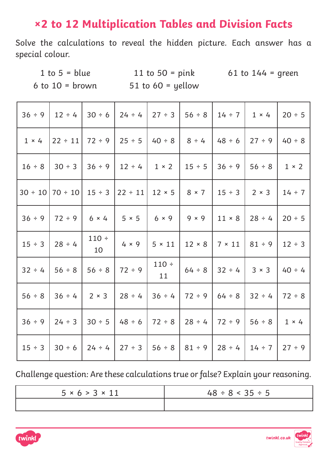### **×2 to 12 Multiplication Tables and Division Facts**

Solve the calculations to reveal the hidden picture. Each answer has a special colour.

6 to  $10 =$  brown 51 to  $60 =$  yellow

1 to  $5 = blue$  11 to  $50 = pink$  61 to  $144 = green$ 

| 36 ÷ 9       | $12 \div 4$                                                                                                          | $30 \div 6$   | $24 \div 4$                                                                 | $27 \div 3$               | 56 ÷ 8   14 ÷ 7                                       |                           | $1 \times 4$ | $20 \div 5$  |
|--------------|----------------------------------------------------------------------------------------------------------------------|---------------|-----------------------------------------------------------------------------|---------------------------|-------------------------------------------------------|---------------------------|--------------|--------------|
| $1 \times 4$ | $ 22 \div 11 $                                                                                                       | $72 \div 9$   | $25 \div 5$                                                                 | $40 \div 8$               | $8 \div 4$                                            | $ 48 \div 6$              | 27 ÷ 9       | $40 \div 8$  |
| $16 \div 8$  | $30 \div 3$                                                                                                          |               | $36 \div 9$   12 $\div 4$   1 × 2   15 $\div 5$   36 $\div 9$   56 $\div 8$ |                           |                                                       |                           |              | $1 \times 2$ |
|              | $30 \div 10$   70 $\div 10$   15 $\div 3$   22 $\div 11$   12 $\times$ 5   8 $\times$ 7   15 $\div 3$   2 $\times$ 3 |               |                                                                             |                           |                                                       |                           |              | $14 \div 7$  |
| 36 ÷ 9       | $72 \div 9$                                                                                                          | $6 \times 4$  | $5 \times 5$                                                                | $6 \times 9$ 9 $\times$ 9 |                                                       | $11 \times 8$             | $28 \div 4$  | $20 \div 5$  |
| $15 \div 3$  | $28 \div 4$                                                                                                          | 110 :<br>10   | $4 \times 9$                                                                | $5 \times 11$             | $12 \times 8$                                         | $7 \times 11$             | $81 \div 9$  | $12 \div 3$  |
| $32 \div 4$  | $56 \div 8$                                                                                                          | 56 ÷ 8        | $72 \div 9$                                                                 | 110 :<br>11               |                                                       | $64 \div 8$   32 $\div 4$ | $3 \times 3$ | $40 \div 4$  |
|              | $56 \div 8$   36 $\div 4$   2 × 3   28 $\div 4$                                                                      |               |                                                                             |                           | $36 \div 4$   72 $\div 9$   64 $\div 8$   32 $\div 4$ |                           |              | $72 \div 8$  |
| 36 ÷ 9       | $24 \div 3$                                                                                                          | $ 30 \div 5 $ | $48 \div 6$                                                                 | $72 \div 8$               | 28 ÷ 4   72 ÷ 9                                       |                           | 56 ÷ 8       | $1 \times 4$ |
| $15 \div 3$  | $30 \div 6$                                                                                                          | $ 24 \div 4 $ | 27 ÷ 3                                                                      | 56 ÷ 8                    | $81 \div 9$                                           | $28 \div 4$               | $14 \div 7$  | 27 ÷ 9       |

| $5 \times 6 > 3 \times 11$ | $48 \div 8 < 35 \div 5$ |
|----------------------------|-------------------------|
|                            |                         |